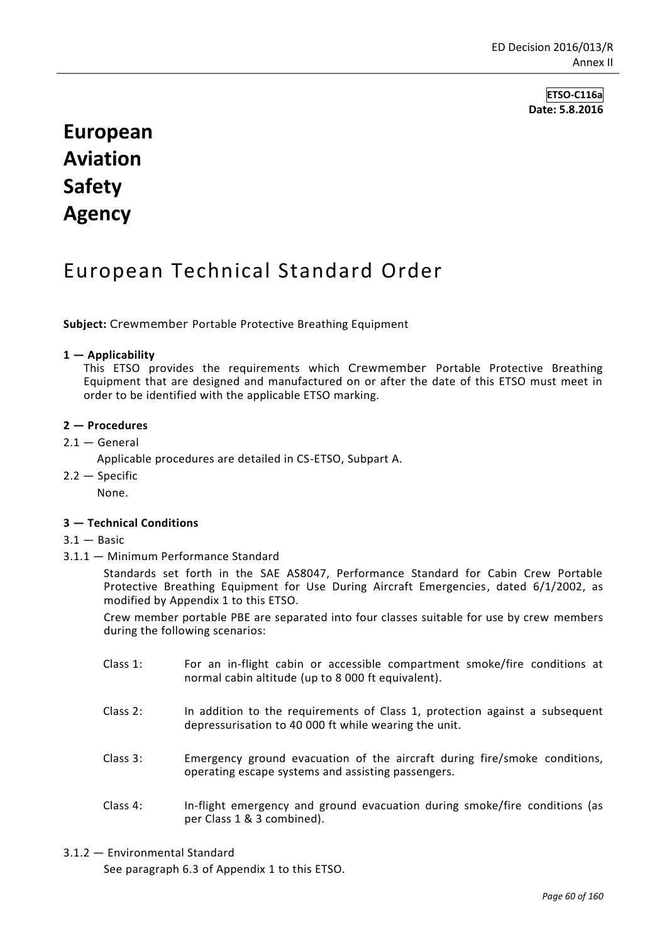**ETSO-C116a Date: 5.8.2016**

# **European Aviation Safety Agency**

# European Technical Standard Order

**Subject:** Crewmember Portable Protective Breathing Equipment

#### **1 — Applicability**

This ETSO provides the requirements which Crewmember Portable Protective Breathing Equipment that are designed and manufactured on or after the date of this ETSO must meet in order to be identified with the applicable ETSO marking.

#### **2 — Procedures**

 $2.1 -$  General

Applicable procedures are detailed in CS-ETSO, Subpart A.

 $2.2 -$  Specific None.

#### **3 — Technical Conditions**

- $3.1 -$ Basic
- 3.1.1 Minimum Performance Standard

Standards set forth in the SAE AS8047, Performance Standard for Cabin Crew Portable Protective Breathing Equipment for Use During Aircraft Emergencies, dated 6/1/2002, as modified by Appendix 1 to this ETSO.

Crew member portable PBE are separated into four classes suitable for use by crew members during the following scenarios:

- Class 1: For an in-flight cabin or accessible compartment smoke/fire conditions at normal cabin altitude (up to 8 000 ft equivalent).
- Class 2: In addition to the requirements of Class 1, protection against a subsequent depressurisation to 40 000 ft while wearing the unit.
- Class 3: Emergency ground evacuation of the aircraft during fire/smoke conditions, operating escape systems and assisting passengers.
- Class 4: In-flight emergency and ground evacuation during smoke/fire conditions (as per Class 1 & 3 combined).

#### 3.1.2 — Environmental Standard

See paragraph 6.3 of Appendix 1 to this ETSO.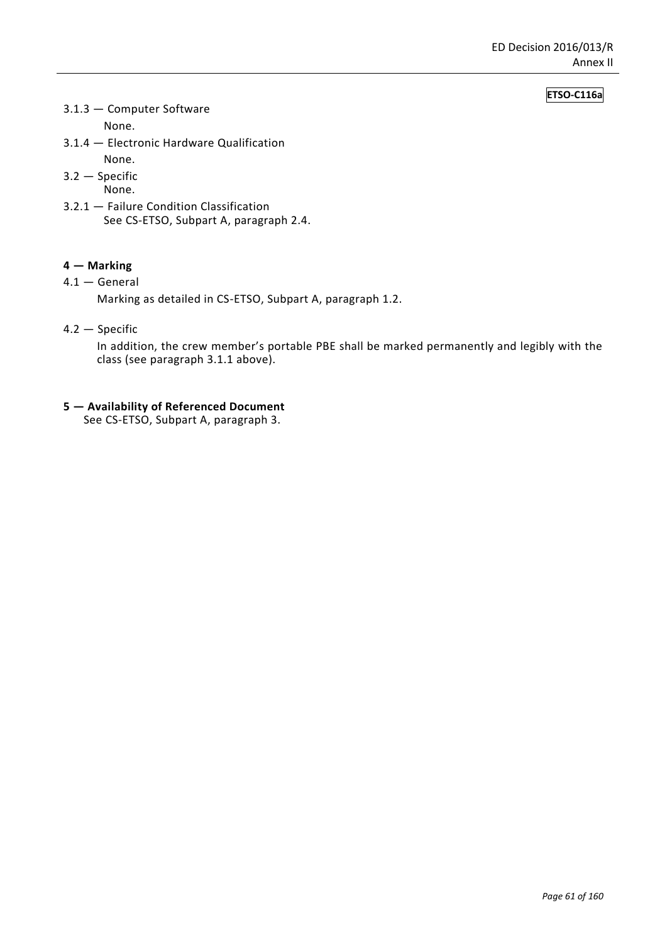#### **ETSO-C116a**

3.1.3 — Computer Software

None.

3.1.4 — Electronic Hardware Qualification

None.

3.2 — Specific

None.

3.2.1 — Failure Condition Classification See CS-ETSO, Subpart A, paragraph 2.4.

#### **4 — Marking**

4.1 — General

Marking as detailed in CS-ETSO, Subpart A, paragraph 1.2.

4.2 — Specific

In addition, the crew member's portable PBE shall be marked permanently and legibly with the class (see paragraph 3.1.1 above).

**5 — Availability of Referenced Document**

See CS-ETSO, Subpart A, paragraph 3.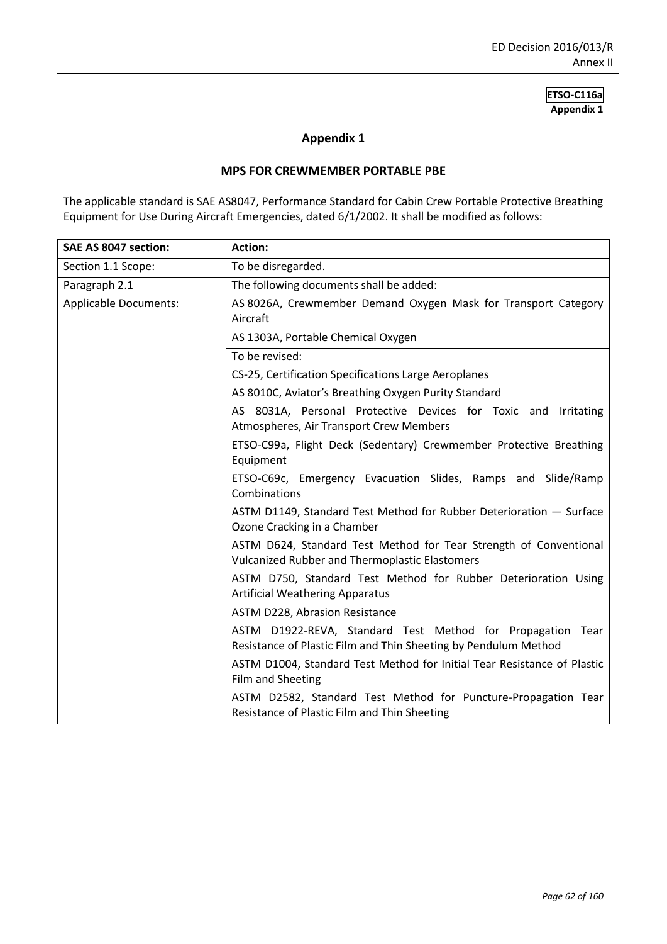#### **Appendix 1**

#### **MPS FOR CREWMEMBER PORTABLE PBE**

The applicable standard is SAE AS8047, Performance Standard for Cabin Crew Portable Protective Breathing Equipment for Use During Aircraft Emergencies, dated 6/1/2002. It shall be modified as follows:

| SAE AS 8047 section:         | <b>Action:</b>                                                                                                                |
|------------------------------|-------------------------------------------------------------------------------------------------------------------------------|
| Section 1.1 Scope:           | To be disregarded.                                                                                                            |
| Paragraph 2.1                | The following documents shall be added:                                                                                       |
| <b>Applicable Documents:</b> | AS 8026A, Crewmember Demand Oxygen Mask for Transport Category<br>Aircraft                                                    |
|                              | AS 1303A, Portable Chemical Oxygen                                                                                            |
|                              | To be revised:                                                                                                                |
|                              | CS-25, Certification Specifications Large Aeroplanes                                                                          |
|                              | AS 8010C, Aviator's Breathing Oxygen Purity Standard                                                                          |
|                              | AS 8031A, Personal Protective Devices for Toxic and Irritating<br>Atmospheres, Air Transport Crew Members                     |
|                              | ETSO-C99a, Flight Deck (Sedentary) Crewmember Protective Breathing<br>Equipment                                               |
|                              | ETSO-C69c, Emergency Evacuation Slides, Ramps and Slide/Ramp<br>Combinations                                                  |
|                              | ASTM D1149, Standard Test Method for Rubber Deterioration - Surface<br>Ozone Cracking in a Chamber                            |
|                              | ASTM D624, Standard Test Method for Tear Strength of Conventional<br>Vulcanized Rubber and Thermoplastic Elastomers           |
|                              | ASTM D750, Standard Test Method for Rubber Deterioration Using<br><b>Artificial Weathering Apparatus</b>                      |
|                              | ASTM D228, Abrasion Resistance                                                                                                |
|                              | ASTM D1922-REVA, Standard Test Method for Propagation Tear<br>Resistance of Plastic Film and Thin Sheeting by Pendulum Method |
|                              | ASTM D1004, Standard Test Method for Initial Tear Resistance of Plastic<br>Film and Sheeting                                  |
|                              | ASTM D2582, Standard Test Method for Puncture-Propagation Tear<br>Resistance of Plastic Film and Thin Sheeting                |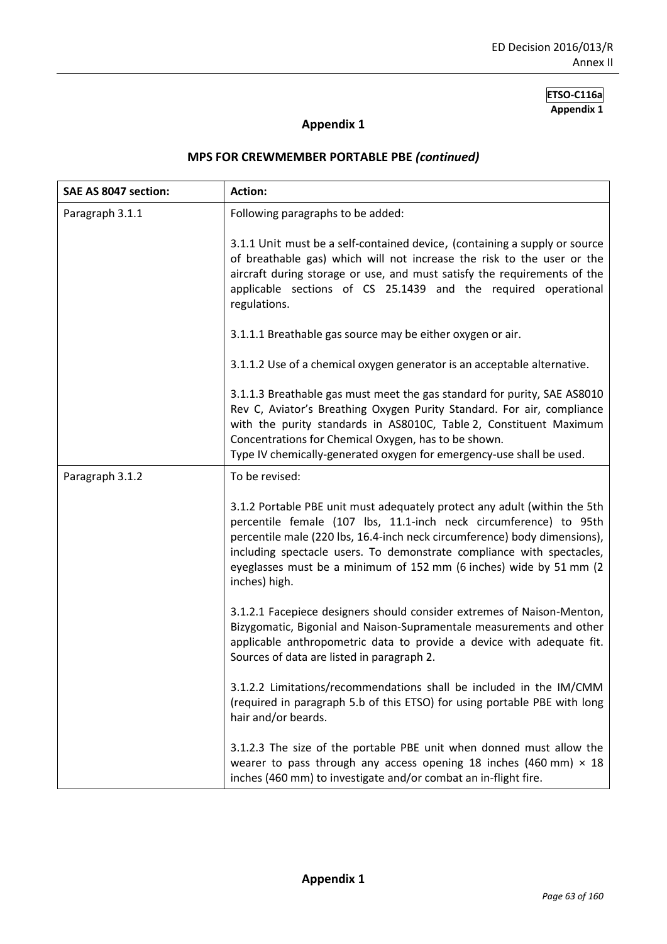## **Appendix 1**

| SAE AS 8047 section: | <b>Action:</b>                                                                                                                                                                                                                                                                                                                                                                              |
|----------------------|---------------------------------------------------------------------------------------------------------------------------------------------------------------------------------------------------------------------------------------------------------------------------------------------------------------------------------------------------------------------------------------------|
| Paragraph 3.1.1      | Following paragraphs to be added:                                                                                                                                                                                                                                                                                                                                                           |
|                      | 3.1.1 Unit must be a self-contained device, (containing a supply or source<br>of breathable gas) which will not increase the risk to the user or the<br>aircraft during storage or use, and must satisfy the requirements of the<br>applicable sections of CS 25.1439 and the required operational<br>regulations.                                                                          |
|                      | 3.1.1.1 Breathable gas source may be either oxygen or air.                                                                                                                                                                                                                                                                                                                                  |
|                      | 3.1.1.2 Use of a chemical oxygen generator is an acceptable alternative.                                                                                                                                                                                                                                                                                                                    |
|                      | 3.1.1.3 Breathable gas must meet the gas standard for purity, SAE AS8010<br>Rev C, Aviator's Breathing Oxygen Purity Standard. For air, compliance<br>with the purity standards in AS8010C, Table 2, Constituent Maximum<br>Concentrations for Chemical Oxygen, has to be shown.<br>Type IV chemically-generated oxygen for emergency-use shall be used.                                    |
| Paragraph 3.1.2      | To be revised:                                                                                                                                                                                                                                                                                                                                                                              |
|                      | 3.1.2 Portable PBE unit must adequately protect any adult (within the 5th<br>percentile female (107 lbs, 11.1-inch neck circumference) to 95th<br>percentile male (220 lbs, 16.4-inch neck circumference) body dimensions),<br>including spectacle users. To demonstrate compliance with spectacles,<br>eyeglasses must be a minimum of 152 mm (6 inches) wide by 51 mm (2<br>inches) high. |
|                      | 3.1.2.1 Facepiece designers should consider extremes of Naison-Menton,<br>Bizygomatic, Bigonial and Naison-Supramentale measurements and other<br>applicable anthropometric data to provide a device with adequate fit.<br>Sources of data are listed in paragraph 2.                                                                                                                       |
|                      | 3.1.2.2 Limitations/recommendations shall be included in the IM/CMM<br>(required in paragraph 5.b of this ETSO) for using portable PBE with long<br>hair and/or beards.                                                                                                                                                                                                                     |
|                      | 3.1.2.3 The size of the portable PBE unit when donned must allow the<br>wearer to pass through any access opening 18 inches (460 mm) $\times$ 18<br>inches (460 mm) to investigate and/or combat an in-flight fire.                                                                                                                                                                         |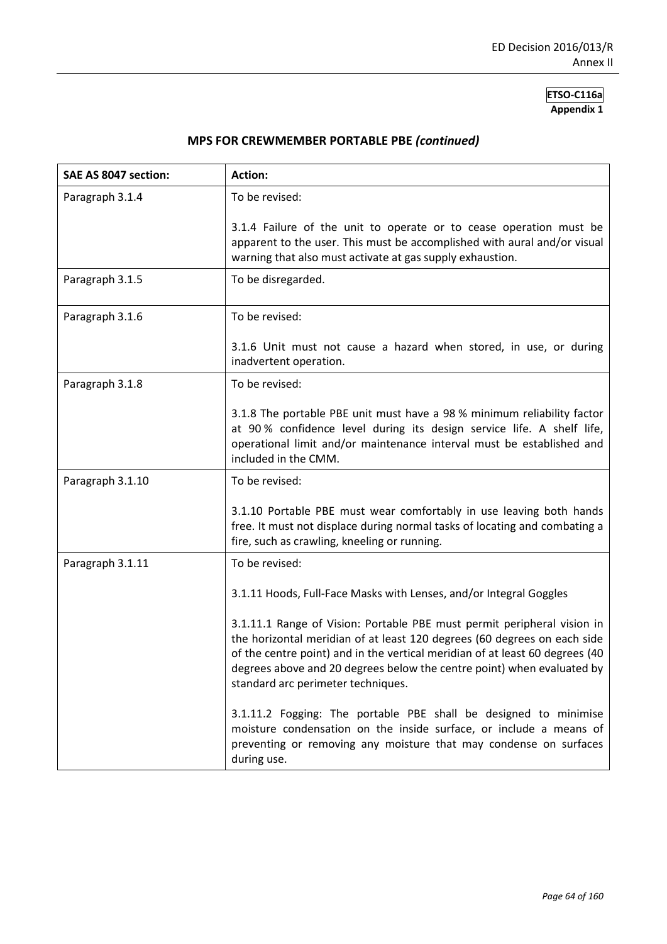| SAE AS 8047 section: | <b>Action:</b>                                                                                                                                                                                                                                                                                                                                      |
|----------------------|-----------------------------------------------------------------------------------------------------------------------------------------------------------------------------------------------------------------------------------------------------------------------------------------------------------------------------------------------------|
| Paragraph 3.1.4      | To be revised:                                                                                                                                                                                                                                                                                                                                      |
|                      | 3.1.4 Failure of the unit to operate or to cease operation must be<br>apparent to the user. This must be accomplished with aural and/or visual<br>warning that also must activate at gas supply exhaustion.                                                                                                                                         |
| Paragraph 3.1.5      | To be disregarded.                                                                                                                                                                                                                                                                                                                                  |
| Paragraph 3.1.6      | To be revised:                                                                                                                                                                                                                                                                                                                                      |
|                      | 3.1.6 Unit must not cause a hazard when stored, in use, or during<br>inadvertent operation.                                                                                                                                                                                                                                                         |
| Paragraph 3.1.8      | To be revised:                                                                                                                                                                                                                                                                                                                                      |
|                      | 3.1.8 The portable PBE unit must have a 98 % minimum reliability factor<br>at 90% confidence level during its design service life. A shelf life,<br>operational limit and/or maintenance interval must be established and<br>included in the CMM.                                                                                                   |
| Paragraph 3.1.10     | To be revised:                                                                                                                                                                                                                                                                                                                                      |
|                      | 3.1.10 Portable PBE must wear comfortably in use leaving both hands<br>free. It must not displace during normal tasks of locating and combating a<br>fire, such as crawling, kneeling or running.                                                                                                                                                   |
| Paragraph 3.1.11     | To be revised:                                                                                                                                                                                                                                                                                                                                      |
|                      | 3.1.11 Hoods, Full-Face Masks with Lenses, and/or Integral Goggles                                                                                                                                                                                                                                                                                  |
|                      | 3.1.11.1 Range of Vision: Portable PBE must permit peripheral vision in<br>the horizontal meridian of at least 120 degrees (60 degrees on each side<br>of the centre point) and in the vertical meridian of at least 60 degrees (40<br>degrees above and 20 degrees below the centre point) when evaluated by<br>standard arc perimeter techniques. |
|                      | 3.1.11.2 Fogging: The portable PBE shall be designed to minimise<br>moisture condensation on the inside surface, or include a means of<br>preventing or removing any moisture that may condense on surfaces<br>during use.                                                                                                                          |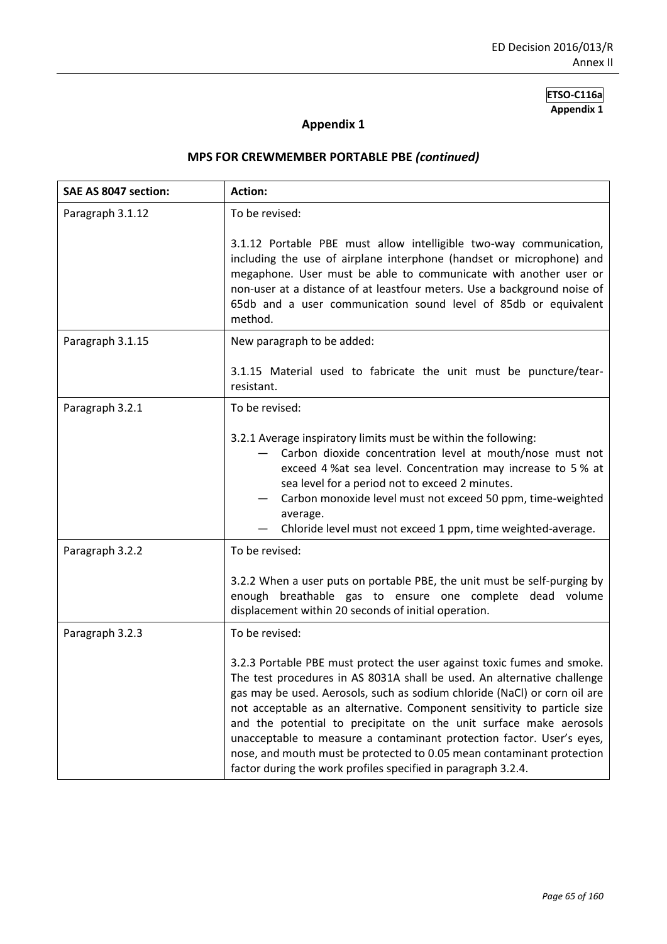# **Appendix 1**

| SAE AS 8047 section: | <b>Action:</b>                                                                                                                                                                                                                                                                                                                                                                                                                                                                                                                                                                                       |
|----------------------|------------------------------------------------------------------------------------------------------------------------------------------------------------------------------------------------------------------------------------------------------------------------------------------------------------------------------------------------------------------------------------------------------------------------------------------------------------------------------------------------------------------------------------------------------------------------------------------------------|
| Paragraph 3.1.12     | To be revised:                                                                                                                                                                                                                                                                                                                                                                                                                                                                                                                                                                                       |
|                      | 3.1.12 Portable PBE must allow intelligible two-way communication,<br>including the use of airplane interphone (handset or microphone) and<br>megaphone. User must be able to communicate with another user or<br>non-user at a distance of at leastfour meters. Use a background noise of<br>65db and a user communication sound level of 85db or equivalent<br>method.                                                                                                                                                                                                                             |
| Paragraph 3.1.15     | New paragraph to be added:                                                                                                                                                                                                                                                                                                                                                                                                                                                                                                                                                                           |
|                      | 3.1.15 Material used to fabricate the unit must be puncture/tear-<br>resistant.                                                                                                                                                                                                                                                                                                                                                                                                                                                                                                                      |
| Paragraph 3.2.1      | To be revised:                                                                                                                                                                                                                                                                                                                                                                                                                                                                                                                                                                                       |
|                      | 3.2.1 Average inspiratory limits must be within the following:<br>Carbon dioxide concentration level at mouth/nose must not<br>exceed 4% at sea level. Concentration may increase to 5% at<br>sea level for a period not to exceed 2 minutes.<br>Carbon monoxide level must not exceed 50 ppm, time-weighted<br>average.<br>Chloride level must not exceed 1 ppm, time weighted-average.                                                                                                                                                                                                             |
| Paragraph 3.2.2      | To be revised:                                                                                                                                                                                                                                                                                                                                                                                                                                                                                                                                                                                       |
|                      | 3.2.2 When a user puts on portable PBE, the unit must be self-purging by<br>enough breathable gas to ensure one complete dead volume<br>displacement within 20 seconds of initial operation.                                                                                                                                                                                                                                                                                                                                                                                                         |
| Paragraph 3.2.3      | To be revised:                                                                                                                                                                                                                                                                                                                                                                                                                                                                                                                                                                                       |
|                      | 3.2.3 Portable PBE must protect the user against toxic fumes and smoke.<br>The test procedures in AS 8031A shall be used. An alternative challenge<br>gas may be used. Aerosols, such as sodium chloride (NaCl) or corn oil are<br>not acceptable as an alternative. Component sensitivity to particle size<br>and the potential to precipitate on the unit surface make aerosols<br>unacceptable to measure a contaminant protection factor. User's eyes,<br>nose, and mouth must be protected to 0.05 mean contaminant protection<br>factor during the work profiles specified in paragraph 3.2.4. |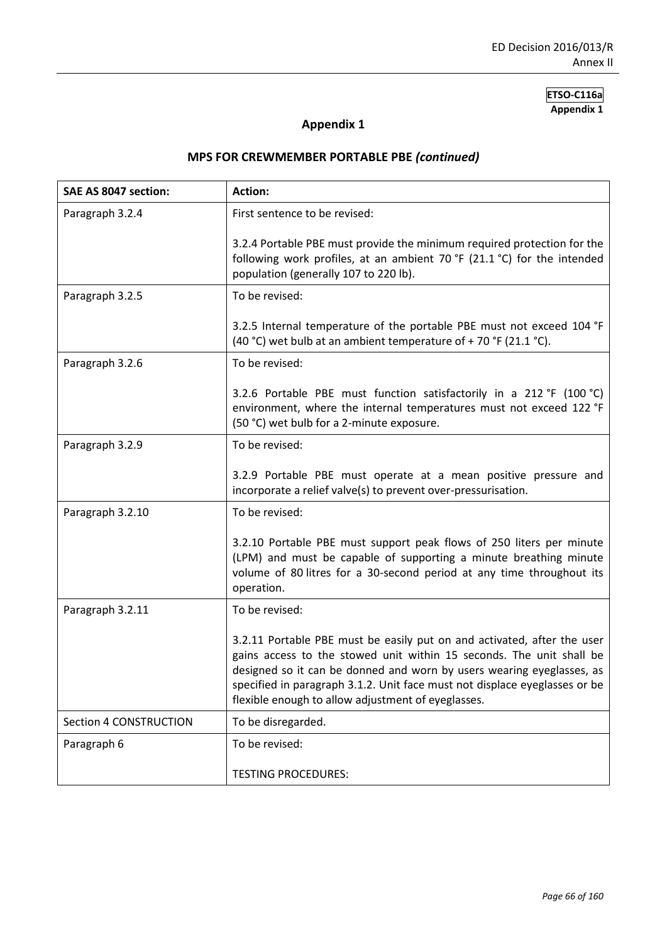# **Appendix 1**

| SAE AS 8047 section:          | <b>Action:</b>                                                                                                                                                                                                                                                                                                                                               |
|-------------------------------|--------------------------------------------------------------------------------------------------------------------------------------------------------------------------------------------------------------------------------------------------------------------------------------------------------------------------------------------------------------|
| Paragraph 3.2.4               | First sentence to be revised:                                                                                                                                                                                                                                                                                                                                |
|                               | 3.2.4 Portable PBE must provide the minimum required protection for the<br>following work profiles, at an ambient 70 °F (21.1 °C) for the intended<br>population (generally 107 to 220 lb).                                                                                                                                                                  |
| Paragraph 3.2.5               | To be revised:                                                                                                                                                                                                                                                                                                                                               |
|                               | 3.2.5 Internal temperature of the portable PBE must not exceed 104 °F<br>(40 °C) wet bulb at an ambient temperature of + 70 °F (21.1 °C).                                                                                                                                                                                                                    |
| Paragraph 3.2.6               | To be revised:                                                                                                                                                                                                                                                                                                                                               |
|                               | 3.2.6 Portable PBE must function satisfactorily in a 212 °F (100 °C)<br>environment, where the internal temperatures must not exceed 122 °F<br>(50 °C) wet bulb for a 2-minute exposure.                                                                                                                                                                     |
| Paragraph 3.2.9               | To be revised:                                                                                                                                                                                                                                                                                                                                               |
|                               | 3.2.9 Portable PBE must operate at a mean positive pressure and<br>incorporate a relief valve(s) to prevent over-pressurisation.                                                                                                                                                                                                                             |
| Paragraph 3.2.10              | To be revised:                                                                                                                                                                                                                                                                                                                                               |
|                               | 3.2.10 Portable PBE must support peak flows of 250 liters per minute<br>(LPM) and must be capable of supporting a minute breathing minute<br>volume of 80 litres for a 30-second period at any time throughout its<br>operation.                                                                                                                             |
| Paragraph 3.2.11              | To be revised:                                                                                                                                                                                                                                                                                                                                               |
|                               | 3.2.11 Portable PBE must be easily put on and activated, after the user<br>gains access to the stowed unit within 15 seconds. The unit shall be<br>designed so it can be donned and worn by users wearing eyeglasses, as<br>specified in paragraph 3.1.2. Unit face must not displace eyeglasses or be<br>flexible enough to allow adjustment of eyeglasses. |
| <b>Section 4 CONSTRUCTION</b> | To be disregarded.                                                                                                                                                                                                                                                                                                                                           |
| Paragraph 6                   | To be revised:                                                                                                                                                                                                                                                                                                                                               |
|                               | <b>TESTING PROCEDURES:</b>                                                                                                                                                                                                                                                                                                                                   |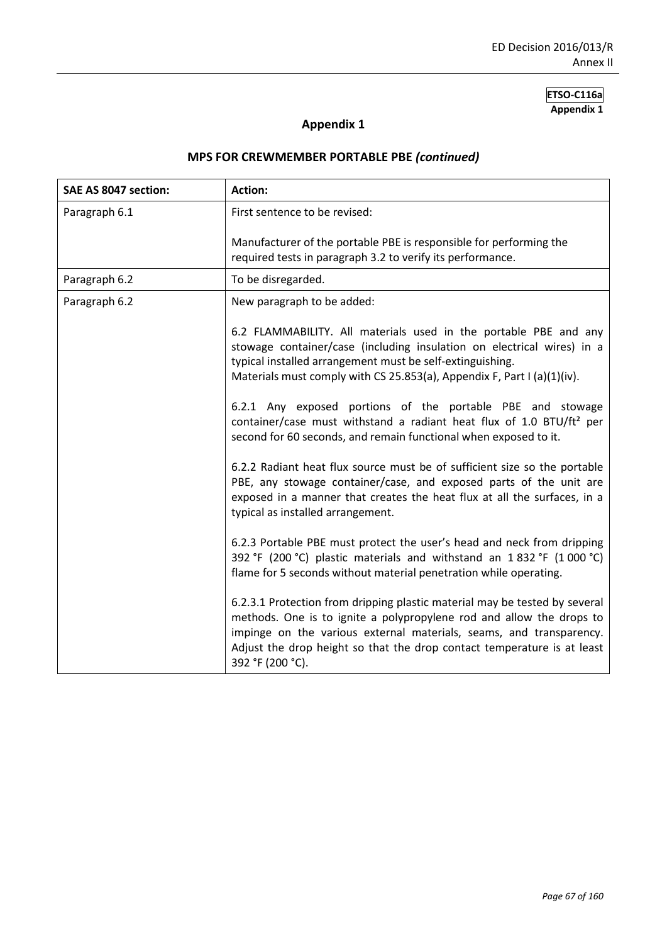# **Appendix 1**

| SAE AS 8047 section: | <b>Action:</b>                                                                                                                                                                                                                                                                                                                                   |
|----------------------|--------------------------------------------------------------------------------------------------------------------------------------------------------------------------------------------------------------------------------------------------------------------------------------------------------------------------------------------------|
| Paragraph 6.1        | First sentence to be revised:                                                                                                                                                                                                                                                                                                                    |
|                      | Manufacturer of the portable PBE is responsible for performing the<br>required tests in paragraph 3.2 to verify its performance.                                                                                                                                                                                                                 |
| Paragraph 6.2        | To be disregarded.                                                                                                                                                                                                                                                                                                                               |
| Paragraph 6.2        | New paragraph to be added:                                                                                                                                                                                                                                                                                                                       |
|                      | 6.2 FLAMMABILITY. All materials used in the portable PBE and any<br>stowage container/case (including insulation on electrical wires) in a<br>typical installed arrangement must be self-extinguishing.<br>Materials must comply with CS 25.853(a), Appendix F, Part I (a)(1)(iv).<br>6.2.1 Any exposed portions of the portable PBE and stowage |
|                      | container/case must withstand a radiant heat flux of 1.0 BTU/ft <sup>2</sup> per<br>second for 60 seconds, and remain functional when exposed to it.                                                                                                                                                                                             |
|                      | 6.2.2 Radiant heat flux source must be of sufficient size so the portable<br>PBE, any stowage container/case, and exposed parts of the unit are<br>exposed in a manner that creates the heat flux at all the surfaces, in a<br>typical as installed arrangement.                                                                                 |
|                      | 6.2.3 Portable PBE must protect the user's head and neck from dripping<br>392 °F (200 °C) plastic materials and withstand an 1832 °F (1000 °C)<br>flame for 5 seconds without material penetration while operating.                                                                                                                              |
|                      | 6.2.3.1 Protection from dripping plastic material may be tested by several<br>methods. One is to ignite a polypropylene rod and allow the drops to<br>impinge on the various external materials, seams, and transparency.<br>Adjust the drop height so that the drop contact temperature is at least<br>392 °F (200 °C).                         |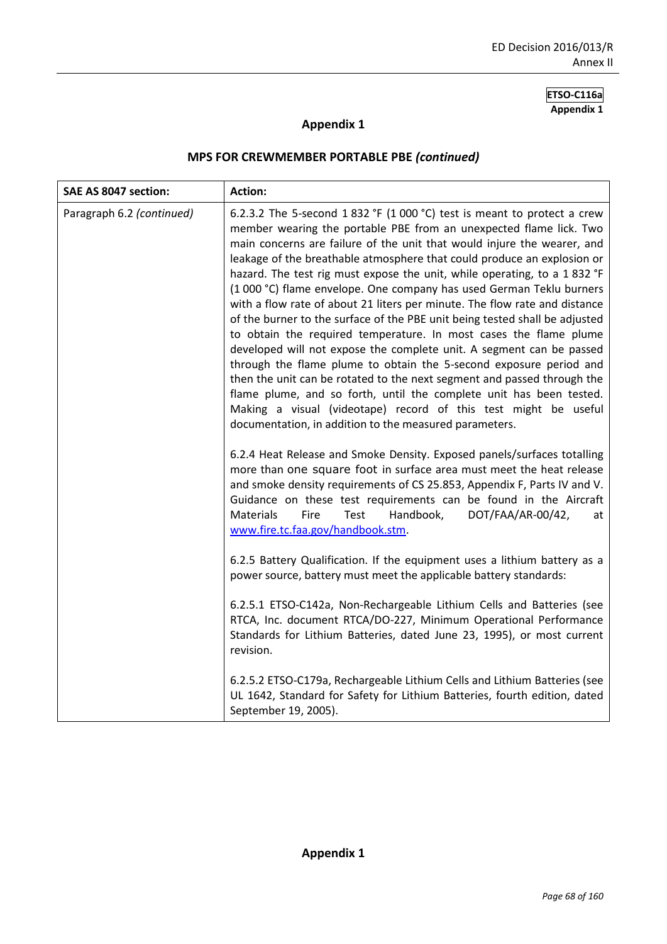### **Appendix 1**

| SAE AS 8047 section:      | <b>Action:</b>                                                                                                                                                                                                                                                                                                                                                                                                                                                                                                                                                                                                                                                                                                                                                                                                                                                                                                                                                                                                                                                                                                                                                                                    |
|---------------------------|---------------------------------------------------------------------------------------------------------------------------------------------------------------------------------------------------------------------------------------------------------------------------------------------------------------------------------------------------------------------------------------------------------------------------------------------------------------------------------------------------------------------------------------------------------------------------------------------------------------------------------------------------------------------------------------------------------------------------------------------------------------------------------------------------------------------------------------------------------------------------------------------------------------------------------------------------------------------------------------------------------------------------------------------------------------------------------------------------------------------------------------------------------------------------------------------------|
| Paragraph 6.2 (continued) | 6.2.3.2 The 5-second 1832 °F (1000 °C) test is meant to protect a crew<br>member wearing the portable PBE from an unexpected flame lick. Two<br>main concerns are failure of the unit that would injure the wearer, and<br>leakage of the breathable atmosphere that could produce an explosion or<br>hazard. The test rig must expose the unit, while operating, to a 1 832 °F<br>(1 000 °C) flame envelope. One company has used German Teklu burners<br>with a flow rate of about 21 liters per minute. The flow rate and distance<br>of the burner to the surface of the PBE unit being tested shall be adjusted<br>to obtain the required temperature. In most cases the flame plume<br>developed will not expose the complete unit. A segment can be passed<br>through the flame plume to obtain the 5-second exposure period and<br>then the unit can be rotated to the next segment and passed through the<br>flame plume, and so forth, until the complete unit has been tested.<br>Making a visual (videotape) record of this test might be useful<br>documentation, in addition to the measured parameters.<br>6.2.4 Heat Release and Smoke Density. Exposed panels/surfaces totalling |
|                           | more than one square foot in surface area must meet the heat release<br>and smoke density requirements of CS 25.853, Appendix F, Parts IV and V.<br>Guidance on these test requirements can be found in the Aircraft<br>Fire<br>Test<br>Handbook,<br>DOT/FAA/AR-00/42,<br><b>Materials</b><br>at<br>www.fire.tc.faa.gov/handbook.stm.                                                                                                                                                                                                                                                                                                                                                                                                                                                                                                                                                                                                                                                                                                                                                                                                                                                             |
|                           | 6.2.5 Battery Qualification. If the equipment uses a lithium battery as a<br>power source, battery must meet the applicable battery standards:                                                                                                                                                                                                                                                                                                                                                                                                                                                                                                                                                                                                                                                                                                                                                                                                                                                                                                                                                                                                                                                    |
|                           | 6.2.5.1 ETSO-C142a, Non-Rechargeable Lithium Cells and Batteries (see<br>RTCA, Inc. document RTCA/DO-227, Minimum Operational Performance<br>Standards for Lithium Batteries, dated June 23, 1995), or most current<br>revision.                                                                                                                                                                                                                                                                                                                                                                                                                                                                                                                                                                                                                                                                                                                                                                                                                                                                                                                                                                  |
|                           | 6.2.5.2 ETSO-C179a, Rechargeable Lithium Cells and Lithium Batteries (see<br>UL 1642, Standard for Safety for Lithium Batteries, fourth edition, dated<br>September 19, 2005).                                                                                                                                                                                                                                                                                                                                                                                                                                                                                                                                                                                                                                                                                                                                                                                                                                                                                                                                                                                                                    |